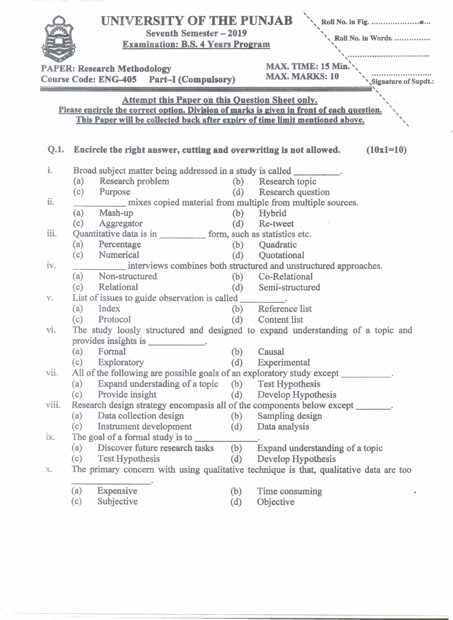|       | UNIVERSITY OF THE PUNJAB<br><b>Seventh Semester - 2019</b><br><b>Examination: B.S. 4 Years Program</b><br><b>PAPER: Research Methodology</b>                                                                                         |            | Roll No. in Words.<br>MAX. TIME: 15 Min.                                                                 |  |  |  |  |
|-------|--------------------------------------------------------------------------------------------------------------------------------------------------------------------------------------------------------------------------------------|------------|----------------------------------------------------------------------------------------------------------|--|--|--|--|
|       | Course Code: ENG-405 Part-I (Compulsory)                                                                                                                                                                                             |            | <b>MAX. MARKS: 10</b><br>Signature of Supdt.:                                                            |  |  |  |  |
|       | <b>Attempt this Paper on this Question Sheet only.</b><br>Please encircle the correct option. Division of marks is given in front of each question.<br>This Paper will be collected back after expiry of time limit mentioned above. |            |                                                                                                          |  |  |  |  |
| Q.1.  | <b>Encircle the right answer, cutting and overwriting is not allowed.</b>                                                                                                                                                            |            | $(10x1=10)$                                                                                              |  |  |  |  |
| i.    | Broad subject matter being addressed in a study is called _________.<br>Research problem<br>(a)                                                                                                                                      |            | (b) Research topic                                                                                       |  |  |  |  |
| ii.   | (c)<br>Purpose                                                                                                                                                                                                                       |            | (d) Research question<br>mixes copied material from multiple from multiple sources.                      |  |  |  |  |
|       | (a)<br>Mash-up<br>(c)<br>Aggregator                                                                                                                                                                                                  | (b)        | Hybrid<br>$(d)$ Re-tweet                                                                                 |  |  |  |  |
| iii.  | Quantitative data is in form, such as statistics etc.<br>Percentage<br>(a)<br>(c)<br>Numerical                                                                                                                                       | (d)        | (b) Quadratic<br>Quotational                                                                             |  |  |  |  |
| iv.   | (a) Non-structured<br>Relational<br>(c)                                                                                                                                                                                              | (d)        | interviews combines both structured and unstructured approaches.<br>(b) Co-Relational<br>Semi-structured |  |  |  |  |
| V.    | List of issues to guide observation is called _________.<br>Index<br>(a)<br>Protocol<br>(c)                                                                                                                                          |            | (b) Reference list<br>(d) Content list                                                                   |  |  |  |  |
| Vİ.   | The study loosly structured and designed to expand understanding of a topic and<br>provides insights is _____________.                                                                                                               |            |                                                                                                          |  |  |  |  |
| vii.  | Formal<br>(a)<br>(c)<br>Exploratory<br>All of the following are possible goals of an exploratory study except ________.                                                                                                              | (b)<br>(d) | Causal<br>Experimental                                                                                   |  |  |  |  |
|       | Expand understading of a topic (b) Test Hypothesis<br>(a)<br>(c)<br>Provide insight                                                                                                                                                  |            | (d) Develop Hypothesis                                                                                   |  |  |  |  |
| viii. | Research design strategy encompasis all of the components below except ______.<br>Data collection design (b) Sampling design<br>(a)                                                                                                  |            |                                                                                                          |  |  |  |  |
| ix.   | Instrument development<br>(c)<br>(a) Discover future research tasks                                                                                                                                                                  | (b)        | (d) Data analysis<br>Expand understanding of a topic                                                     |  |  |  |  |
| X.    | (c)<br>Test Hypothesis<br>The primary concern with using qualitative technique is that, qualitative data are too                                                                                                                     | (d)        | Develop Hypothesis                                                                                       |  |  |  |  |
|       | Expensive<br>(a)<br>Subjective<br>(c)                                                                                                                                                                                                | (b)<br>(d) | Time consuming<br>Objective                                                                              |  |  |  |  |